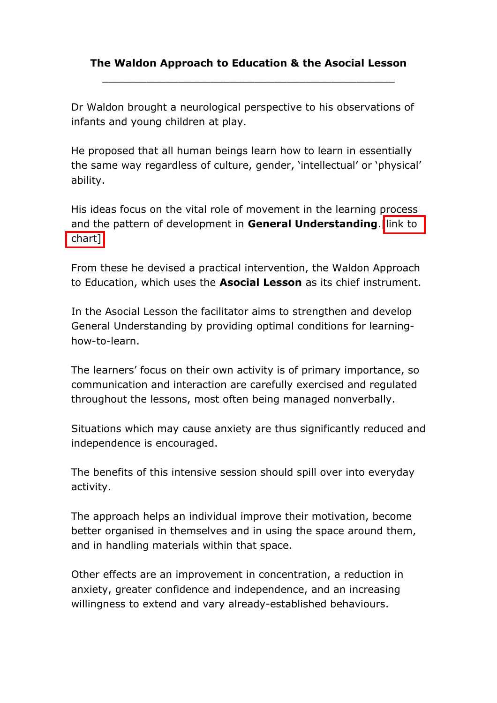## **The Waldon Approach to Education & the Asocial Lesson** \_\_\_\_\_\_\_\_\_\_\_\_\_\_\_\_\_\_\_\_\_\_\_\_\_\_\_\_\_\_\_\_\_\_\_\_\_\_\_\_\_\_\_\_\_\_

Dr Waldon brought a neurological perspective to his observations of infants and young children at play.

He proposed that all human beings learn how to learn in essentially the same way regardless of culture, gender, 'intellectual' or 'physical' ability.

His ideas focus on the vital role of movement in the learning process and the pattern of development in **General Understanding**. link to chart]

From these he devised a practical intervention, the Waldon Approach to Education, which uses the **Asocial Lesson** as its chief instrument.

In the Asocial Lesson the facilitator aims to strengthen and develop General Understanding by providing optimal conditions for learninghow-to-learn.

The learners' focus on their own activity is of primary importance, so communication and interaction are carefully exercised and regulated throughout the lessons, most often being managed nonverbally.

Situations which may cause anxiety are thus significantly reduced and independence is encouraged.

The benefits of this intensive session should spill over into everyday activity.

The approach helps an individual improve their motivation, become better organised in themselves and in using the space around them, and in handling materials within that space.

Other effects are an improvement in concentration, a reduction in anxiety, greater confidence and independence, and an increasing willingness to extend and vary already-established behaviours.